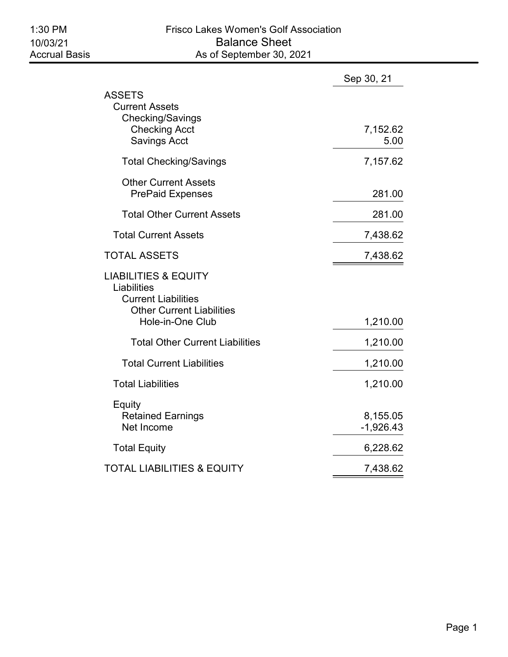|                                                                                                                                      | Sep 30, 21              |
|--------------------------------------------------------------------------------------------------------------------------------------|-------------------------|
| ASSETS<br><b>Current Assets</b><br><b>Checking/Savings</b><br><b>Checking Acct</b><br><b>Savings Acct</b>                            | 7,152.62<br>5.00        |
| <b>Total Checking/Savings</b>                                                                                                        | 7,157.62                |
| <b>Other Current Assets</b><br><b>PrePaid Expenses</b>                                                                               | 281.00                  |
| <b>Total Other Current Assets</b>                                                                                                    | 281.00                  |
| <b>Total Current Assets</b>                                                                                                          | 7,438.62                |
| <b>TOTAL ASSETS</b>                                                                                                                  | 7,438.62                |
| <b>LIABILITIES &amp; EQUITY</b><br>Liabilities<br><b>Current Liabilities</b><br><b>Other Current Liabilities</b><br>Hole-in-One Club | 1,210.00                |
| <b>Total Other Current Liabilities</b>                                                                                               | 1,210.00                |
| <b>Total Current Liabilities</b>                                                                                                     | 1,210.00                |
| <b>Total Liabilities</b>                                                                                                             | 1,210.00                |
| Equity<br><b>Retained Earnings</b><br>Net Income                                                                                     | 8,155.05<br>$-1,926.43$ |
| <b>Total Equity</b>                                                                                                                  | 6,228.62                |
| TOTAL LIABILITIES & EQUITY                                                                                                           | 7,438.62                |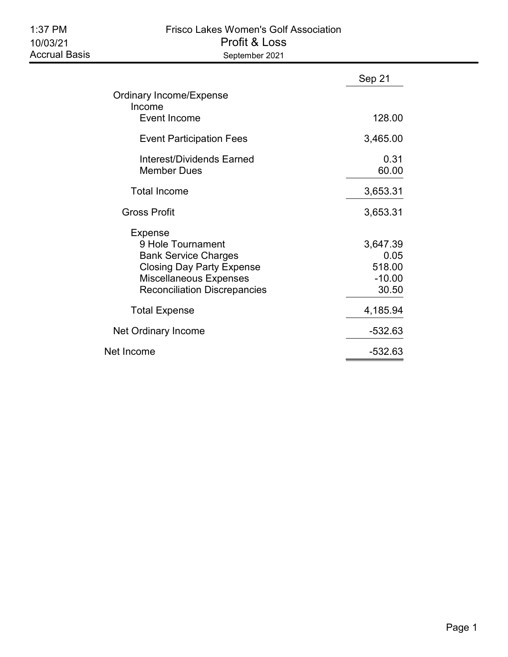# 1:37 PM Frisco Lakes Women's Golf Association 10/03/21 Profit & Loss September 2021

|                                                                                                                                                                         | Sep 21                                          |
|-------------------------------------------------------------------------------------------------------------------------------------------------------------------------|-------------------------------------------------|
| <b>Ordinary Income/Expense</b><br>Income                                                                                                                                |                                                 |
| Event Income                                                                                                                                                            | 128.00                                          |
| <b>Event Participation Fees</b>                                                                                                                                         | 3,465.00                                        |
| Interest/Dividends Earned<br><b>Member Dues</b>                                                                                                                         | 0.31<br>60.00                                   |
| <b>Total Income</b>                                                                                                                                                     | 3,653.31                                        |
| Gross Profit                                                                                                                                                            | 3,653.31                                        |
| Expense<br>9 Hole Tournament<br><b>Bank Service Charges</b><br><b>Closing Day Party Expense</b><br><b>Miscellaneous Expenses</b><br><b>Reconciliation Discrepancies</b> | 3,647.39<br>0.05<br>518.00<br>$-10.00$<br>30.50 |
| <b>Total Expense</b>                                                                                                                                                    | 4,185.94                                        |
| Net Ordinary Income                                                                                                                                                     | $-532.63$                                       |
| Net Income                                                                                                                                                              | -532.63                                         |
|                                                                                                                                                                         |                                                 |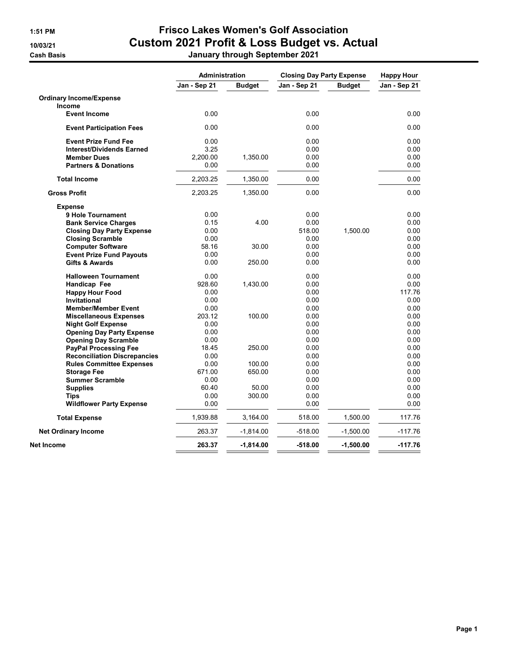|                                     | <b>Administration</b> |               | <b>Closing Day Party Expense</b> |               | <b>Happy Hour</b> |  |
|-------------------------------------|-----------------------|---------------|----------------------------------|---------------|-------------------|--|
|                                     | Jan - Sep 21          | <b>Budget</b> | Jan - Sep 21                     | <b>Budget</b> | Jan - Sep 21      |  |
| <b>Ordinary Income/Expense</b>      |                       |               |                                  |               |                   |  |
| Income                              |                       |               |                                  |               |                   |  |
| <b>Event Income</b>                 | 0.00                  |               | 0.00                             |               | 0.00              |  |
| <b>Event Participation Fees</b>     | 0.00                  |               | 0.00                             |               | 0.00              |  |
| <b>Event Prize Fund Fee</b>         | 0.00                  |               | 0.00                             |               | 0.00              |  |
| <b>Interest/Dividends Earned</b>    | 3.25                  |               | 0.00                             |               | 0.00              |  |
| <b>Member Dues</b>                  | 2,200.00              | 1,350.00      | 0.00                             |               | 0.00              |  |
| <b>Partners &amp; Donations</b>     | 0.00                  |               | 0.00                             |               | 0.00              |  |
| <b>Total Income</b>                 | 2,203.25              | 1,350.00      | 0.00                             |               | 0.00              |  |
| <b>Gross Profit</b>                 | 2,203.25              | 1,350.00      | 0.00                             |               | 0.00              |  |
| <b>Expense</b>                      |                       |               |                                  |               |                   |  |
| <b>9 Hole Tournament</b>            | 0.00                  |               | 0.00                             |               | 0.00              |  |
| <b>Bank Service Charges</b>         | 0.15                  | 4.00          | 0.00                             |               | 0.00              |  |
| <b>Closing Day Party Expense</b>    | 0.00                  |               | 518.00                           | 1,500.00      | 0.00              |  |
| <b>Closing Scramble</b>             | 0.00                  |               | 0.00                             |               | 0.00              |  |
| <b>Computer Software</b>            | 58.16                 | 30.00         | 0.00                             |               | 0.00              |  |
| <b>Event Prize Fund Payouts</b>     | 0.00                  |               | 0.00                             |               | 0.00              |  |
| <b>Gifts &amp; Awards</b>           | 0.00                  | 250.00        | 0.00                             |               | 0.00              |  |
| <b>Halloween Tournament</b>         | 0.00                  |               | 0.00                             |               | 0.00              |  |
| Handicap Fee                        | 928.60                | 1,430.00      | 0.00                             |               | 0.00              |  |
| <b>Happy Hour Food</b>              | 0.00                  |               | 0.00                             |               | 117.76            |  |
| <b>Invitational</b>                 | 0.00                  |               | 0.00                             |               | 0.00              |  |
| <b>Member/Member Event</b>          | 0.00                  |               | 0.00                             |               | 0.00              |  |
| <b>Miscellaneous Expenses</b>       | 203.12                | 100.00        | 0.00                             |               | 0.00              |  |
| <b>Night Golf Expense</b>           | 0.00                  |               | 0.00                             |               | 0.00              |  |
| <b>Opening Day Party Expense</b>    | 0.00                  |               | 0.00                             |               | 0.00              |  |
| <b>Opening Day Scramble</b>         | 0.00                  |               | 0.00                             |               | 0.00              |  |
| <b>PayPal Processing Fee</b>        | 18.45                 | 250.00        | 0.00                             |               | 0.00              |  |
| <b>Reconciliation Discrepancies</b> | 0.00                  |               | 0.00                             |               | 0.00              |  |
| <b>Rules Committee Expenses</b>     | 0.00                  | 100.00        | 0.00                             |               | 0.00              |  |
| <b>Storage Fee</b>                  | 671.00                | 650.00        | 0.00                             |               | 0.00              |  |
| <b>Summer Scramble</b>              | 0.00                  |               | 0.00                             |               | 0.00              |  |
| <b>Supplies</b>                     | 60.40                 | 50.00         | 0.00                             |               | 0.00              |  |
| Tips                                | 0.00                  | 300.00        | 0.00                             |               | 0.00              |  |
| <b>Wildflower Party Expense</b>     | 0.00                  |               | 0.00                             |               | 0.00              |  |
| <b>Total Expense</b>                | 1,939.88              | 3,164.00      | 518.00                           | 1,500.00      | 117.76            |  |
| <b>Net Ordinary Income</b>          | 263.37                | $-1,814.00$   | $-518.00$                        | $-1,500.00$   | $-117.76$         |  |
| Net Income                          | 263.37                | $-1,814.00$   | $-518.00$                        | $-1,500.00$   | $-117.76$         |  |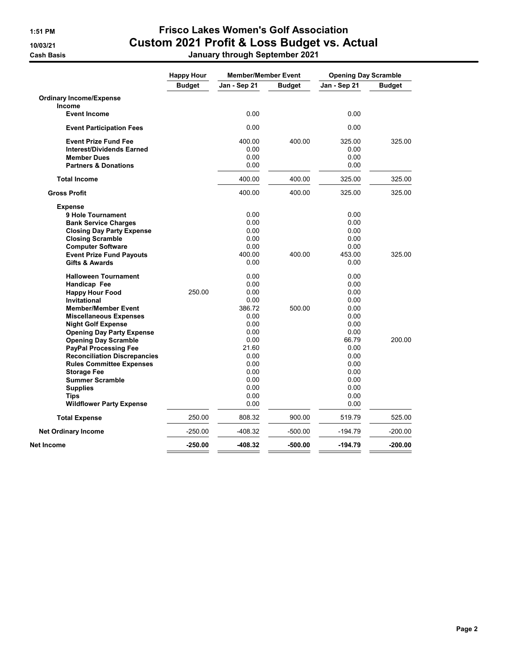|                                     | <b>Member/Member Event</b><br><b>Happy Hour</b> |              | <b>Opening Day Scramble</b> |              |               |
|-------------------------------------|-------------------------------------------------|--------------|-----------------------------|--------------|---------------|
|                                     | <b>Budget</b>                                   | Jan - Sep 21 | <b>Budget</b>               | Jan - Sep 21 | <b>Budget</b> |
| <b>Ordinary Income/Expense</b>      |                                                 |              |                             |              |               |
| Income                              |                                                 |              |                             |              |               |
| <b>Event Income</b>                 |                                                 | 0.00         |                             | 0.00         |               |
| <b>Event Participation Fees</b>     |                                                 | 0.00         |                             | 0.00         |               |
| <b>Event Prize Fund Fee</b>         |                                                 | 400.00       | 400.00                      | 325.00       | 325.00        |
| <b>Interest/Dividends Earned</b>    |                                                 | 0.00         |                             | 0.00         |               |
| <b>Member Dues</b>                  |                                                 | 0.00         |                             | 0.00         |               |
| <b>Partners &amp; Donations</b>     |                                                 | 0.00         |                             | 0.00         |               |
| <b>Total Income</b>                 |                                                 | 400.00       | 400.00                      | 325.00       | 325.00        |
| <b>Gross Profit</b>                 |                                                 | 400.00       | 400.00                      | 325.00       | 325.00        |
| <b>Expense</b>                      |                                                 |              |                             |              |               |
| 9 Hole Tournament                   |                                                 | 0.00         |                             | 0.00         |               |
| <b>Bank Service Charges</b>         |                                                 | 0.00         |                             | 0.00         |               |
| <b>Closing Day Party Expense</b>    |                                                 | 0.00         |                             | 0.00         |               |
| <b>Closing Scramble</b>             |                                                 | 0.00         |                             | 0.00         |               |
| <b>Computer Software</b>            |                                                 | 0.00         |                             | 0.00         |               |
| <b>Event Prize Fund Payouts</b>     |                                                 | 400.00       | 400.00                      | 453.00       | 325.00        |
| <b>Gifts &amp; Awards</b>           |                                                 | 0.00         |                             | 0.00         |               |
| <b>Halloween Tournament</b>         |                                                 | 0.00         |                             | 0.00         |               |
| Handicap Fee                        |                                                 | 0.00         |                             | 0.00         |               |
| <b>Happy Hour Food</b>              | 250.00                                          | 0.00         |                             | 0.00         |               |
| Invitational                        |                                                 | 0.00         |                             | 0.00         |               |
| <b>Member/Member Event</b>          |                                                 | 386.72       | 500.00                      | 0.00         |               |
| <b>Miscellaneous Expenses</b>       |                                                 | 0.00         |                             | 0.00         |               |
| <b>Night Golf Expense</b>           |                                                 | 0.00         |                             | 0.00         |               |
| <b>Opening Day Party Expense</b>    |                                                 | 0.00         |                             | 0.00         |               |
| <b>Opening Day Scramble</b>         |                                                 | 0.00         |                             | 66.79        | 200.00        |
| <b>PayPal Processing Fee</b>        |                                                 | 21.60        |                             | 0.00         |               |
| <b>Reconciliation Discrepancies</b> |                                                 | 0.00         |                             | 0.00         |               |
| <b>Rules Committee Expenses</b>     |                                                 | 0.00         |                             | 0.00         |               |
| <b>Storage Fee</b>                  |                                                 | 0.00         |                             | 0.00         |               |
| <b>Summer Scramble</b>              |                                                 | 0.00         |                             | 0.00         |               |
| <b>Supplies</b>                     |                                                 | 0.00         |                             | 0.00         |               |
| <b>Tips</b>                         |                                                 | 0.00         |                             | 0.00         |               |
| <b>Wildflower Party Expense</b>     |                                                 | 0.00         |                             | 0.00         |               |
| <b>Total Expense</b>                | 250.00                                          | 808.32       | 900.00                      | 519.79       | 525.00        |
| <b>Net Ordinary Income</b>          | $-250.00$                                       | -408.32      | $-500.00$                   | $-194.79$    | $-200.00$     |
| Net Income                          | $-250.00$                                       | -408.32      | -500.00                     | -194.79      | $-200.00$     |
|                                     |                                                 |              |                             |              |               |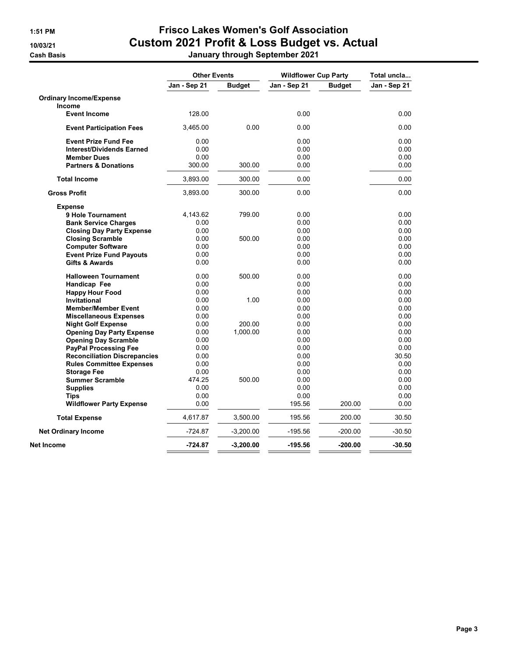|                                     | <b>Other Events</b> |               | <b>Wildflower Cup Party</b> |               | Total uncla  |  |
|-------------------------------------|---------------------|---------------|-----------------------------|---------------|--------------|--|
|                                     | Jan - Sep 21        | <b>Budget</b> | Jan - Sep 21                | <b>Budget</b> | Jan - Sep 21 |  |
| <b>Ordinary Income/Expense</b>      |                     |               |                             |               |              |  |
| Income                              |                     |               |                             |               |              |  |
| <b>Event Income</b>                 | 128.00              |               | 0.00                        |               | 0.00         |  |
| <b>Event Participation Fees</b>     | 3,465.00            | 0.00          | 0.00                        |               | 0.00         |  |
| <b>Event Prize Fund Fee</b>         | 0.00                |               | 0.00                        |               | 0.00         |  |
| <b>Interest/Dividends Earned</b>    | 0.00                |               | 0.00                        |               | 0.00         |  |
| <b>Member Dues</b>                  | 0.00                |               | 0.00                        |               | 0.00         |  |
| <b>Partners &amp; Donations</b>     | 300.00              | 300.00        | 0.00                        |               | 0.00         |  |
| <b>Total Income</b>                 | 3,893.00            | 300.00        | 0.00                        |               | 0.00         |  |
| <b>Gross Profit</b>                 | 3,893.00            | 300.00        | 0.00                        |               | 0.00         |  |
| <b>Expense</b>                      |                     |               |                             |               |              |  |
| 9 Hole Tournament                   | 4,143.62            | 799.00        | 0.00                        |               | 0.00         |  |
| <b>Bank Service Charges</b>         | 0.00                |               | 0.00                        |               | 0.00         |  |
| <b>Closing Day Party Expense</b>    | 0.00                |               | 0.00                        |               | 0.00         |  |
| <b>Closing Scramble</b>             | 0.00                | 500.00        | 0.00                        |               | 0.00         |  |
| <b>Computer Software</b>            | 0.00                |               | 0.00                        |               | 0.00         |  |
| <b>Event Prize Fund Payouts</b>     | 0.00                |               | 0.00                        |               | 0.00         |  |
| <b>Gifts &amp; Awards</b>           | 0.00                |               | 0.00                        |               | 0.00         |  |
| <b>Halloween Tournament</b>         | 0.00                | 500.00        | 0.00                        |               | 0.00         |  |
| Handicap Fee                        | 0.00                |               | 0.00                        |               | 0.00         |  |
| <b>Happy Hour Food</b>              | 0.00                |               | 0.00                        |               | 0.00         |  |
| <b>Invitational</b>                 | 0.00                | 1.00          | 0.00                        |               | 0.00         |  |
| <b>Member/Member Event</b>          | 0.00                |               | 0.00                        |               | 0.00         |  |
| <b>Miscellaneous Expenses</b>       | 0.00                |               | 0.00                        |               | 0.00         |  |
| <b>Night Golf Expense</b>           | 0.00                | 200.00        | 0.00                        |               | 0.00         |  |
| <b>Opening Day Party Expense</b>    | 0.00                | 1,000.00      | 0.00                        |               | 0.00         |  |
| <b>Opening Day Scramble</b>         | 0.00                |               | 0.00                        |               | 0.00         |  |
| <b>PayPal Processing Fee</b>        | 0.00                |               | 0.00                        |               | 0.00         |  |
| <b>Reconciliation Discrepancies</b> | 0.00                |               | 0.00                        |               | 30.50        |  |
| <b>Rules Committee Expenses</b>     | 0.00                |               | 0.00                        |               | 0.00         |  |
| <b>Storage Fee</b>                  | 0.00                |               | 0.00                        |               | 0.00         |  |
| <b>Summer Scramble</b>              | 474.25              | 500.00        | 0.00                        |               | 0.00         |  |
| <b>Supplies</b>                     | 0.00                |               | 0.00                        |               | 0.00         |  |
| Tips                                | 0.00                |               | 0.00                        |               | 0.00         |  |
| <b>Wildflower Party Expense</b>     | 0.00                |               | 195.56                      | 200.00        | 0.00         |  |
| <b>Total Expense</b>                | 4,617.87            | 3,500.00      | 195.56                      | 200.00        | 30.50        |  |
| <b>Net Ordinary Income</b>          | $-724.87$           | $-3,200.00$   | $-195.56$                   | $-200.00$     | $-30.50$     |  |
| Net Income                          | $-724.87$           | $-3,200.00$   | -195.56                     | $-200.00$     | $-30.50$     |  |